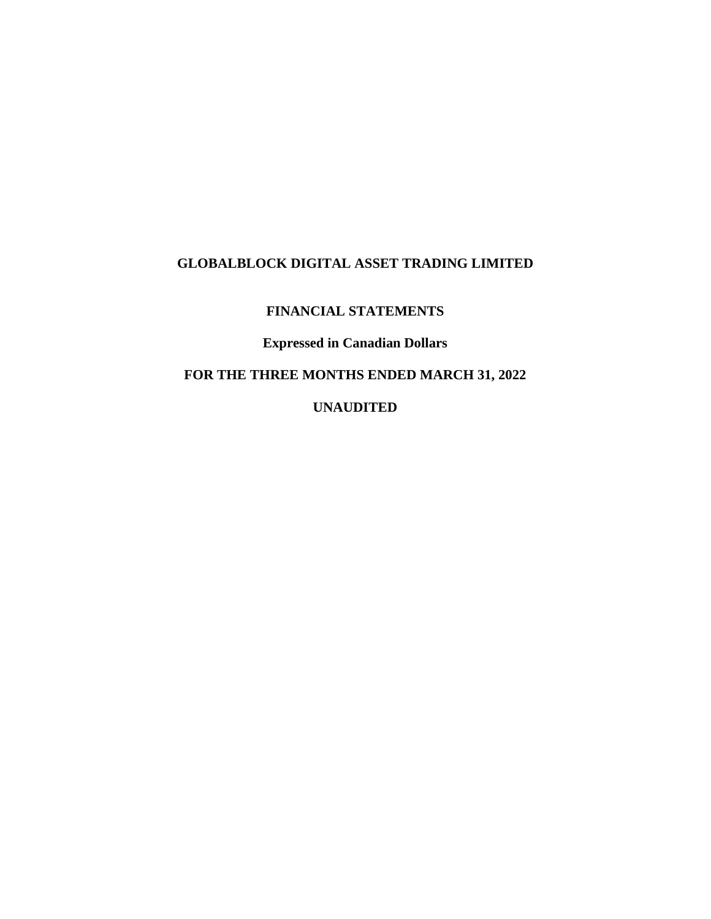# **FINANCIAL STATEMENTS**

# **Expressed in Canadian Dollars**

# **FOR THE THREE MONTHS ENDED MARCH 31, 2022**

# **UNAUDITED**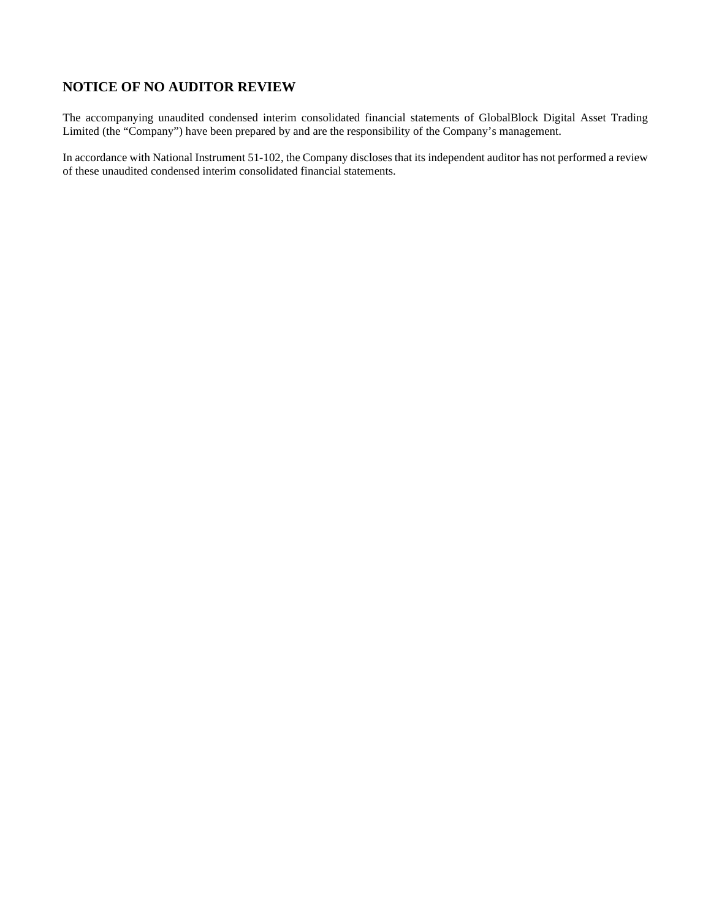# **NOTICE OF NO AUDITOR REVIEW**

The accompanying unaudited condensed interim consolidated financial statements of GlobalBlock Digital Asset Trading Limited (the "Company") have been prepared by and are the responsibility of the Company's management.

In accordance with National Instrument 51-102, the Company discloses that its independent auditor has not performed a review of these unaudited condensed interim consolidated financial statements.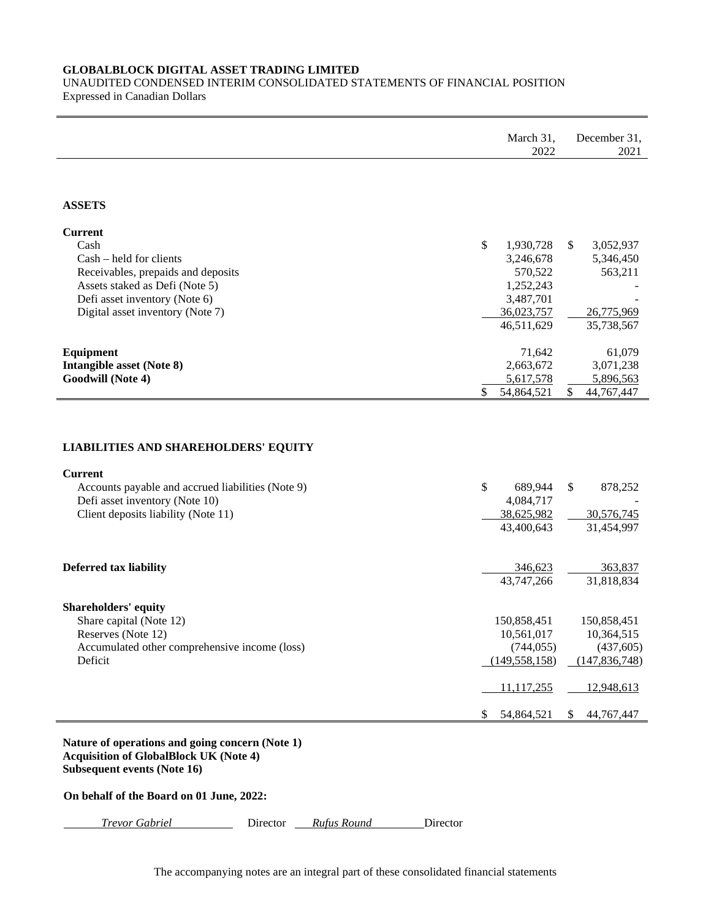# UNAUDITED CONDENSED INTERIM CONSOLIDATED STATEMENTS OF FINANCIAL POSITION Expressed in Canadian Dollars

|                                                                                                                                           | March 31,<br>2022                                          | December 31,<br>2021                                      |
|-------------------------------------------------------------------------------------------------------------------------------------------|------------------------------------------------------------|-----------------------------------------------------------|
|                                                                                                                                           |                                                            |                                                           |
| <b>ASSETS</b>                                                                                                                             |                                                            |                                                           |
| <b>Current</b><br>Cash<br>$Cash - held for clients$                                                                                       | \$<br>1,930,728<br>3,246,678                               | \$<br>3,052,937<br>5,346,450                              |
| Receivables, prepaids and deposits<br>Assets staked as Defi (Note 5)<br>Defi asset inventory (Note 6)<br>Digital asset inventory (Note 7) | 570,522<br>1,252,243<br>3,487,701<br>36,023,757            | 563,211<br>26,775,969                                     |
|                                                                                                                                           | 46,511,629                                                 | 35,738,567                                                |
| Equipment<br><b>Intangible asset (Note 8)</b><br>Goodwill (Note 4)                                                                        | 71,642<br>2,663,672<br>5,617,578<br>\$<br>54,864,521       | 61,079<br>3,071,238<br>5,896,563<br>\$<br>44,767,447      |
|                                                                                                                                           |                                                            |                                                           |
| <b>LIABILITIES AND SHAREHOLDERS' EQUITY</b>                                                                                               |                                                            |                                                           |
| <b>Current</b>                                                                                                                            |                                                            |                                                           |
| Accounts payable and accrued liabilities (Note 9)<br>Defi asset inventory (Note 10)<br>Client deposits liability (Note 11)                | \$<br>689,944<br>4,084,717<br>38,625,982<br>43,400,643     | \$<br>878,252<br>30,576,745<br>31,454,997                 |
| <b>Deferred tax liability</b>                                                                                                             | 346,623<br>43,747,266                                      | 363,837<br>31,818,834                                     |
| <b>Shareholders' equity</b><br>Share capital (Note 12)<br>Reserves (Note 12)<br>Accumulated other comprehensive income (loss)<br>Deficit  | 150,858,451<br>10,561,017<br>(744, 055)<br>(149, 558, 158) | 150,858,451<br>10,364,515<br>(437,605)<br>(147, 836, 748) |
|                                                                                                                                           | <u>11,117,255</u>                                          | 12,948,613                                                |
|                                                                                                                                           | 54,864,521<br>S.                                           | S.<br>44,767,447                                          |
| Nature of operations and going concern (Note 1)<br><b>Acquisition of GlobalBlock UK (Note 4)</b><br>Subsequent events (Note 16)           |                                                            |                                                           |
| On behalf of the Board on 01 June, 2022:                                                                                                  |                                                            |                                                           |

*Trevor Gabriel* Director *Rufus Round* Director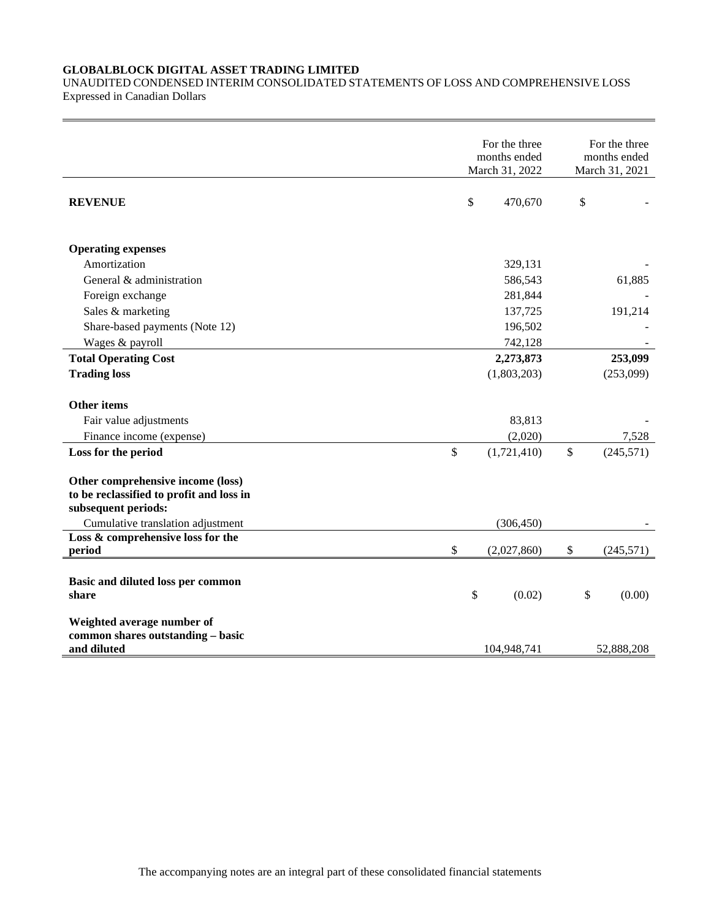UNAUDITED CONDENSED INTERIM CONSOLIDATED STATEMENTS OF LOSS AND COMPREHENSIVE LOSS Expressed in Canadian Dollars

|                                                                                                      | For the three<br>months ended<br>March 31, 2022 |              |    | For the three<br>months ended<br>March 31, 2021 |
|------------------------------------------------------------------------------------------------------|-------------------------------------------------|--------------|----|-------------------------------------------------|
| <b>REVENUE</b>                                                                                       | \$                                              | 470,670      |    | \$                                              |
| <b>Operating expenses</b>                                                                            |                                                 |              |    |                                                 |
| Amortization                                                                                         |                                                 | 329,131      |    |                                                 |
| General & administration                                                                             |                                                 | 586,543      |    | 61,885                                          |
| Foreign exchange                                                                                     |                                                 | 281,844      |    |                                                 |
| Sales & marketing                                                                                    |                                                 | 137,725      |    | 191,214                                         |
| Share-based payments (Note 12)                                                                       |                                                 | 196,502      |    |                                                 |
| Wages & payroll                                                                                      |                                                 | 742,128      |    |                                                 |
| <b>Total Operating Cost</b>                                                                          |                                                 | 2,273,873    |    | 253,099                                         |
| <b>Trading loss</b>                                                                                  |                                                 | (1,803,203)  |    | (253,099)                                       |
| Other items                                                                                          |                                                 |              |    |                                                 |
| Fair value adjustments                                                                               |                                                 | 83,813       |    |                                                 |
| Finance income (expense)                                                                             |                                                 | (2,020)      |    | 7,528                                           |
| Loss for the period                                                                                  | \$                                              | (1,721,410)  | \$ | (245, 571)                                      |
| Other comprehensive income (loss)<br>to be reclassified to profit and loss in<br>subsequent periods: |                                                 |              |    |                                                 |
| Cumulative translation adjustment                                                                    |                                                 | (306, 450)   |    |                                                 |
| Loss & comprehensive loss for the<br>period                                                          | \$                                              | (2,027,860)  | \$ | (245, 571)                                      |
| Basic and diluted loss per common<br>share                                                           |                                                 | \$<br>(0.02) |    | \$<br>(0.00)                                    |
| Weighted average number of<br>common shares outstanding - basic<br>and diluted                       |                                                 | 104,948,741  |    | 52,888,208                                      |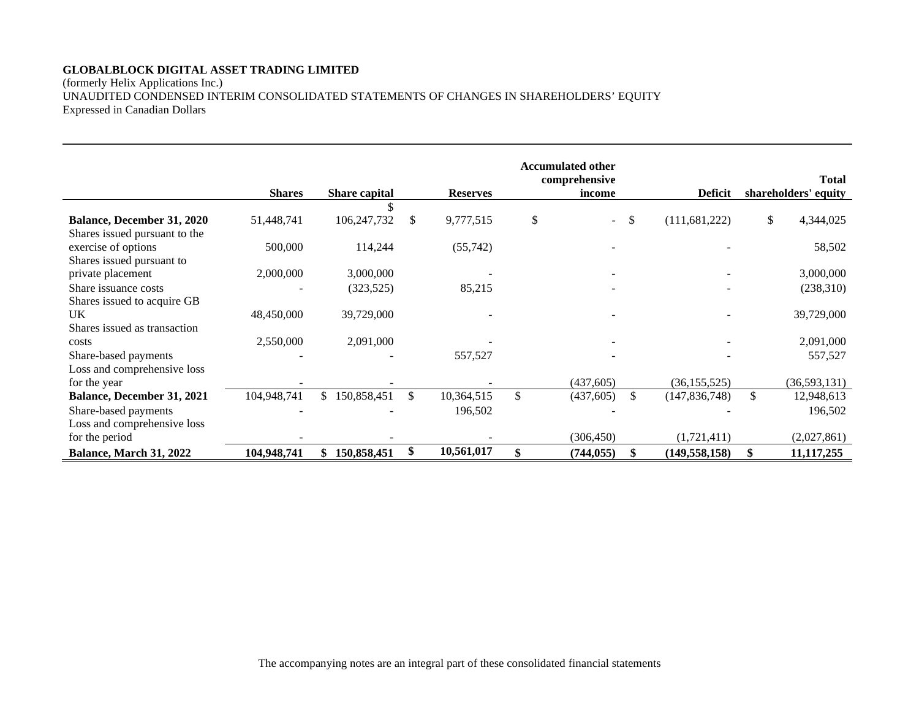(formerly Helix Applications Inc.) UNAUDITED CONDENSED INTERIM CONSOLIDATED STATEMENTS OF CHANGES IN SHAREHOLDERS' EQUITY Expressed in Canadian Dollars

|                                   |               |               |                 | <b>Accumulated other</b><br>comprehensive |              |                 | <b>Total</b>         |
|-----------------------------------|---------------|---------------|-----------------|-------------------------------------------|--------------|-----------------|----------------------|
|                                   | <b>Shares</b> | Share capital | <b>Reserves</b> | income                                    |              | <b>Deficit</b>  | shareholders' equity |
|                                   |               |               |                 |                                           |              |                 |                      |
| <b>Balance, December 31, 2020</b> | 51,448,741    | 106,247,732   | \$<br>9,777,515 | \$<br>$\overline{\phantom{0}}$            | $\mathbb{S}$ | (111,681,222)   | \$<br>4,344,025      |
| Shares issued pursuant to the     |               |               |                 |                                           |              |                 |                      |
| exercise of options               | 500,000       | 114,244       | (55,742)        |                                           |              |                 | 58,502               |
| Shares issued pursuant to         |               |               |                 |                                           |              |                 |                      |
| private placement                 | 2,000,000     | 3,000,000     |                 |                                           |              |                 | 3,000,000            |
| Share issuance costs              |               | (323, 525)    | 85,215          |                                           |              |                 | (238,310)            |
| Shares issued to acquire GB       |               |               |                 |                                           |              |                 |                      |
| UK                                | 48,450,000    | 39,729,000    |                 |                                           |              |                 | 39,729,000           |
| Shares issued as transaction      |               |               |                 |                                           |              |                 |                      |
| costs                             | 2,550,000     | 2,091,000     |                 |                                           |              |                 | 2,091,000            |
| Share-based payments              |               |               | 557,527         |                                           |              |                 | 557,527              |
| Loss and comprehensive loss       |               |               |                 |                                           |              |                 |                      |
| for the year                      |               |               |                 | (437,605)                                 |              | (36, 155, 525)  | (36,593,131)         |
| Balance, December 31, 2021        | 104,948,741   | 150,858,451   | 10,364,515      | (437, 605)                                | \$           | (147, 836, 748) | 12,948,613           |
| Share-based payments              |               |               | 196,502         |                                           |              |                 | 196,502              |
| Loss and comprehensive loss       |               |               |                 |                                           |              |                 |                      |
| for the period                    |               |               |                 | (306, 450)                                |              | (1,721,411)     | (2,027,861)          |
| Balance, March 31, 2022           | 104,948,741   | 150,858,451   | 10,561,017      | (744, 055)                                | \$.          | (149, 558, 158) | 11, 117, 255         |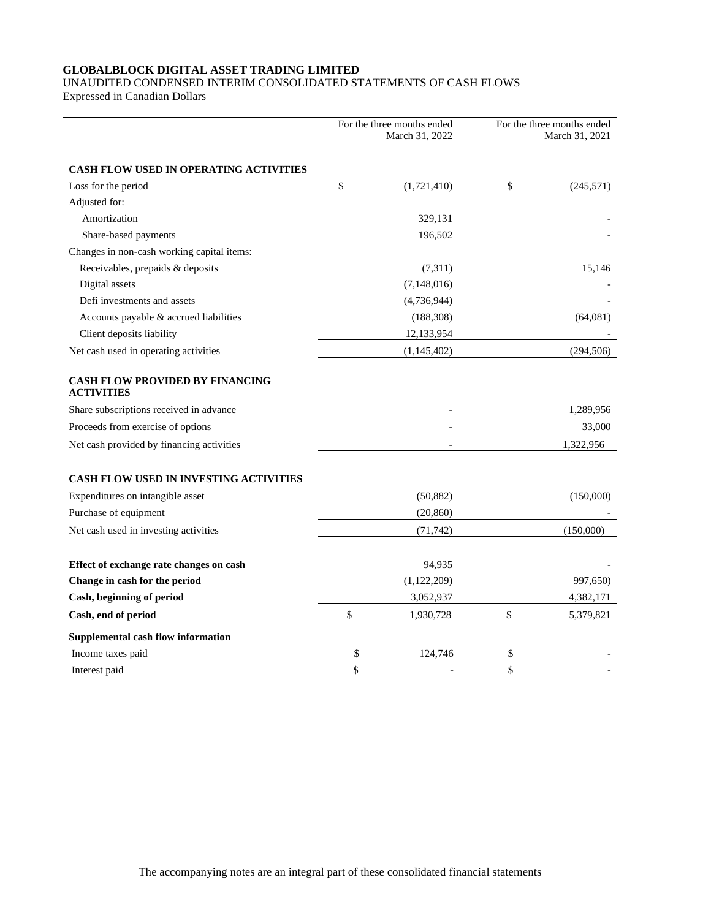# UNAUDITED CONDENSED INTERIM CONSOLIDATED STATEMENTS OF CASH FLOWS

Expressed in Canadian Dollars

|                                                             | For the three months ended<br>March 31, 2022 |               | For the three months ended<br>March 31, 2021 |
|-------------------------------------------------------------|----------------------------------------------|---------------|----------------------------------------------|
|                                                             |                                              |               |                                              |
| <b>CASH FLOW USED IN OPERATING ACTIVITIES</b>               |                                              |               |                                              |
| Loss for the period                                         | \$                                           | (1,721,410)   | \$<br>(245, 571)                             |
| Adjusted for:                                               |                                              |               |                                              |
| Amortization                                                |                                              | 329,131       |                                              |
| Share-based payments                                        |                                              | 196,502       |                                              |
| Changes in non-cash working capital items:                  |                                              |               |                                              |
| Receivables, prepaids & deposits                            |                                              | (7,311)       | 15,146                                       |
| Digital assets                                              |                                              | (7,148,016)   |                                              |
| Defi investments and assets                                 |                                              | (4,736,944)   |                                              |
| Accounts payable & accrued liabilities                      |                                              | (188, 308)    | (64,081)                                     |
| Client deposits liability                                   |                                              | 12,133,954    |                                              |
| Net cash used in operating activities                       |                                              | (1, 145, 402) | (294, 506)                                   |
| <b>CASH FLOW PROVIDED BY FINANCING</b><br><b>ACTIVITIES</b> |                                              |               |                                              |
| Share subscriptions received in advance                     |                                              |               | 1,289,956                                    |
| Proceeds from exercise of options                           |                                              |               | 33,000                                       |
| Net cash provided by financing activities                   |                                              |               | 1,322,956                                    |
| <b>CASH FLOW USED IN INVESTING ACTIVITIES</b>               |                                              |               |                                              |
| Expenditures on intangible asset                            |                                              | (50, 882)     | (150,000)                                    |
| Purchase of equipment                                       |                                              | (20, 860)     |                                              |
| Net cash used in investing activities                       |                                              | (71, 742)     | (150,000)                                    |
|                                                             |                                              |               |                                              |
| Effect of exchange rate changes on cash                     |                                              | 94,935        |                                              |
| Change in cash for the period                               |                                              | (1,122,209)   | 997,650)                                     |
| Cash, beginning of period                                   |                                              | 3,052,937     | 4,382,171                                    |
| Cash, end of period                                         | \$                                           | 1,930,728     | \$<br>5,379,821                              |
| Supplemental cash flow information                          |                                              |               |                                              |
| Income taxes paid                                           | \$                                           | 124,746       | \$                                           |
| Interest paid                                               | \$                                           |               | \$                                           |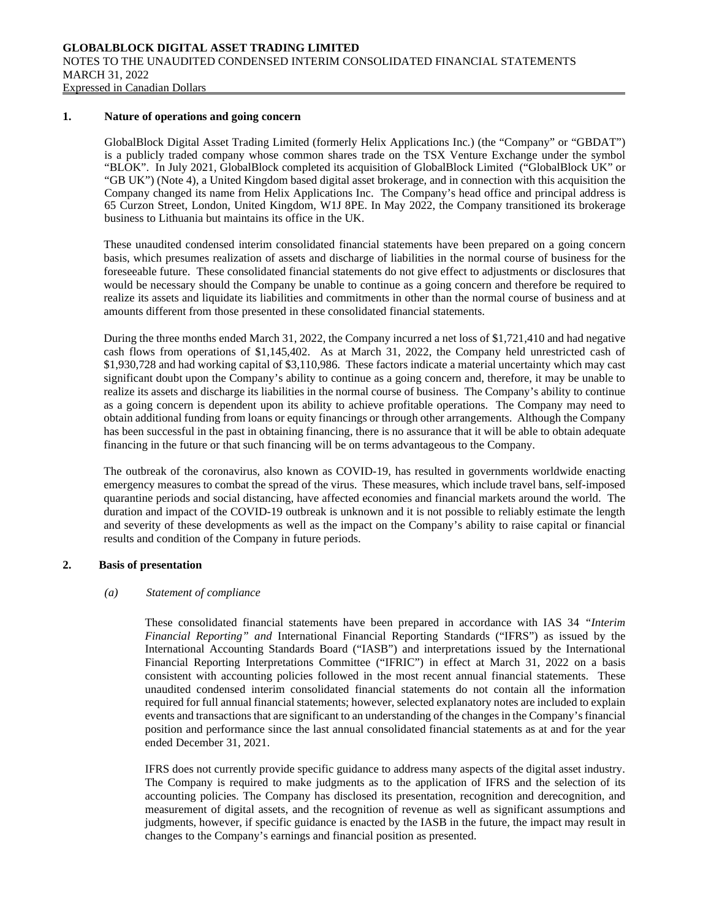#### **1. Nature of operations and going concern**

GlobalBlock Digital Asset Trading Limited (formerly Helix Applications Inc.) (the "Company" or "GBDAT") is a publicly traded company whose common shares trade on the TSX Venture Exchange under the symbol "BLOK". In July 2021, GlobalBlock completed its acquisition of GlobalBlock Limited ("GlobalBlock UK" or "GB UK") (Note 4), a United Kingdom based digital asset brokerage, and in connection with this acquisition the Company changed its name from Helix Applications Inc. The Company's head office and principal address is 65 Curzon Street, London, United Kingdom, W1J 8PE. In May 2022, the Company transitioned its brokerage business to Lithuania but maintains its office in the UK.

These unaudited condensed interim consolidated financial statements have been prepared on a going concern basis, which presumes realization of assets and discharge of liabilities in the normal course of business for the foreseeable future. These consolidated financial statements do not give effect to adjustments or disclosures that would be necessary should the Company be unable to continue as a going concern and therefore be required to realize its assets and liquidate its liabilities and commitments in other than the normal course of business and at amounts different from those presented in these consolidated financial statements.

During the three months ended March 31, 2022, the Company incurred a net loss of \$1,721,410 and had negative cash flows from operations of \$1,145,402. As at March 31, 2022, the Company held unrestricted cash of \$1,930,728 and had working capital of \$3,110,986. These factors indicate a material uncertainty which may cast significant doubt upon the Company's ability to continue as a going concern and, therefore, it may be unable to realize its assets and discharge its liabilities in the normal course of business. The Company's ability to continue as a going concern is dependent upon its ability to achieve profitable operations. The Company may need to obtain additional funding from loans or equity financings or through other arrangements. Although the Company has been successful in the past in obtaining financing, there is no assurance that it will be able to obtain adequate financing in the future or that such financing will be on terms advantageous to the Company.

The outbreak of the coronavirus, also known as COVID-19, has resulted in governments worldwide enacting emergency measures to combat the spread of the virus. These measures, which include travel bans, self-imposed quarantine periods and social distancing, have affected economies and financial markets around the world. The duration and impact of the COVID-19 outbreak is unknown and it is not possible to reliably estimate the length and severity of these developments as well as the impact on the Company's ability to raise capital or financial results and condition of the Company in future periods.

#### **2. Basis of presentation**

#### *(a) Statement of compliance*

These consolidated financial statements have been prepared in accordance with IAS 34 *"Interim Financial Reporting" and* International Financial Reporting Standards ("IFRS") as issued by the International Accounting Standards Board ("IASB") and interpretations issued by the International Financial Reporting Interpretations Committee ("IFRIC") in effect at March 31, 2022 on a basis consistent with accounting policies followed in the most recent annual financial statements. These unaudited condensed interim consolidated financial statements do not contain all the information required for full annual financial statements; however, selected explanatory notes are included to explain events and transactions that are significant to an understanding of the changes in the Company's financial position and performance since the last annual consolidated financial statements as at and for the year ended December 31, 2021.

IFRS does not currently provide specific guidance to address many aspects of the digital asset industry. The Company is required to make judgments as to the application of IFRS and the selection of its accounting policies. The Company has disclosed its presentation, recognition and derecognition, and measurement of digital assets, and the recognition of revenue as well as significant assumptions and judgments, however, if specific guidance is enacted by the IASB in the future, the impact may result in changes to the Company's earnings and financial position as presented.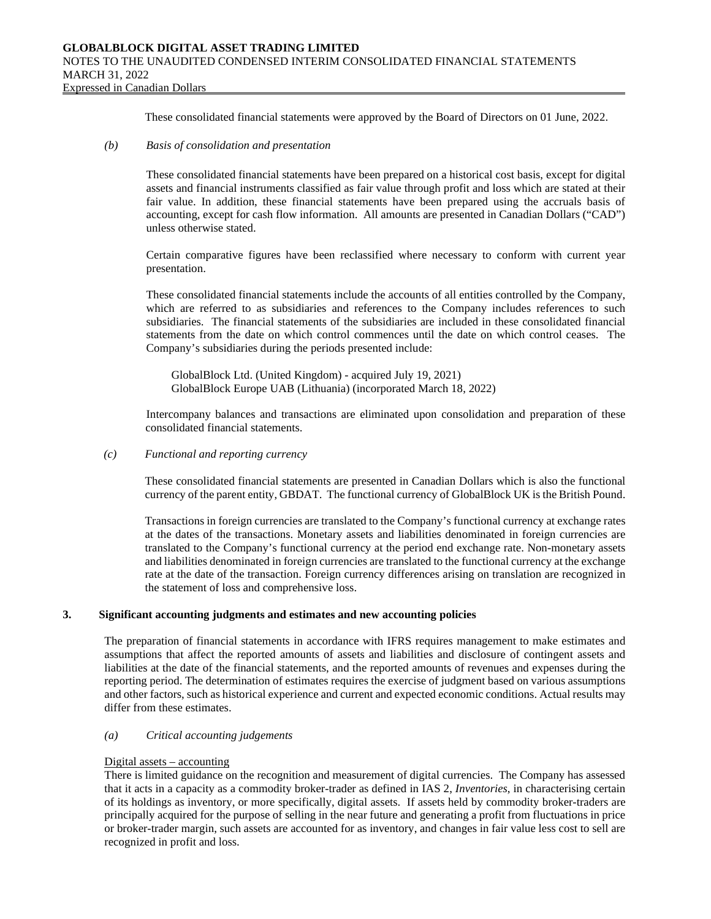These consolidated financial statements were approved by the Board of Directors on 01 June, 2022.

## *(b) Basis of consolidation and presentation*

These consolidated financial statements have been prepared on a historical cost basis, except for digital assets and financial instruments classified as fair value through profit and loss which are stated at their fair value. In addition, these financial statements have been prepared using the accruals basis of accounting, except for cash flow information. All amounts are presented in Canadian Dollars ("CAD") unless otherwise stated.

Certain comparative figures have been reclassified where necessary to conform with current year presentation.

These consolidated financial statements include the accounts of all entities controlled by the Company, which are referred to as subsidiaries and references to the Company includes references to such subsidiaries. The financial statements of the subsidiaries are included in these consolidated financial statements from the date on which control commences until the date on which control ceases. The Company's subsidiaries during the periods presented include:

GlobalBlock Ltd. (United Kingdom) - acquired July 19, 2021) GlobalBlock Europe UAB (Lithuania) (incorporated March 18, 2022)

Intercompany balances and transactions are eliminated upon consolidation and preparation of these consolidated financial statements.

### *(c) Functional and reporting currency*

These consolidated financial statements are presented in Canadian Dollars which is also the functional currency of the parent entity, GBDAT. The functional currency of GlobalBlock UK is the British Pound.

Transactions in foreign currencies are translated to the Company's functional currency at exchange rates at the dates of the transactions. Monetary assets and liabilities denominated in foreign currencies are translated to the Company's functional currency at the period end exchange rate. Non-monetary assets and liabilities denominated in foreign currencies are translated to the functional currency at the exchange rate at the date of the transaction. Foreign currency differences arising on translation are recognized in the statement of loss and comprehensive loss.

# **3. Significant accounting judgments and estimates and new accounting policies**

The preparation of financial statements in accordance with IFRS requires management to make estimates and assumptions that affect the reported amounts of assets and liabilities and disclosure of contingent assets and liabilities at the date of the financial statements, and the reported amounts of revenues and expenses during the reporting period. The determination of estimates requires the exercise of judgment based on various assumptions and other factors, such as historical experience and current and expected economic conditions. Actual results may differ from these estimates.

#### *(a) Critical accounting judgements*

#### Digital assets – accounting

There is limited guidance on the recognition and measurement of digital currencies. The Company has assessed that it acts in a capacity as a commodity broker-trader as defined in IAS 2, *Inventories*, in characterising certain of its holdings as inventory, or more specifically, digital assets. If assets held by commodity broker-traders are principally acquired for the purpose of selling in the near future and generating a profit from fluctuations in price or broker-trader margin, such assets are accounted for as inventory, and changes in fair value less cost to sell are recognized in profit and loss.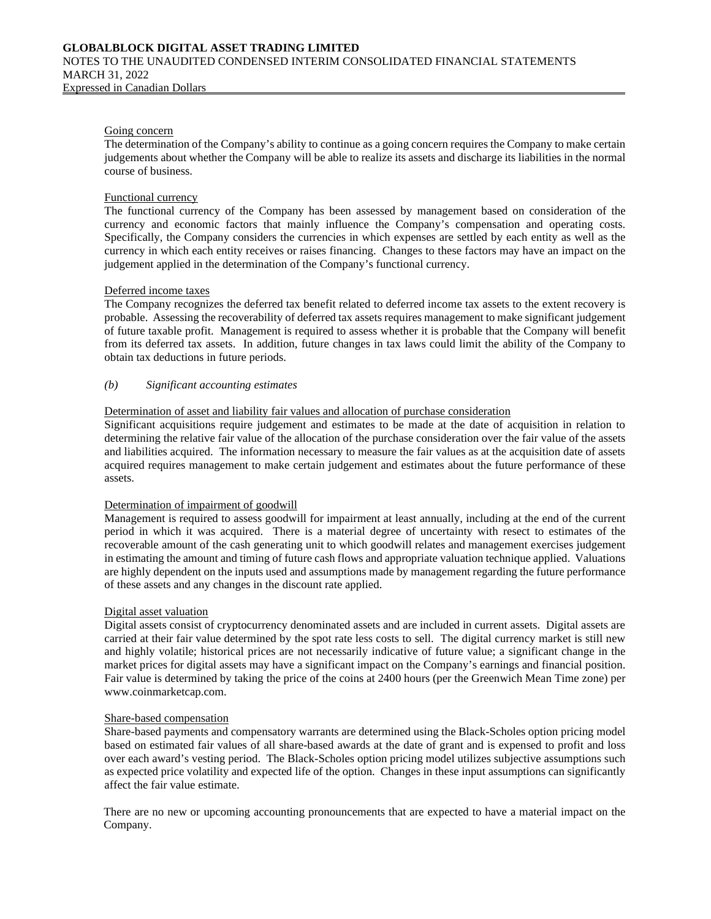### Going concern

The determination of the Company's ability to continue as a going concern requires the Company to make certain judgements about whether the Company will be able to realize its assets and discharge its liabilities in the normal course of business.

### Functional currency

The functional currency of the Company has been assessed by management based on consideration of the currency and economic factors that mainly influence the Company's compensation and operating costs. Specifically, the Company considers the currencies in which expenses are settled by each entity as well as the currency in which each entity receives or raises financing. Changes to these factors may have an impact on the judgement applied in the determination of the Company's functional currency.

#### Deferred income taxes

The Company recognizes the deferred tax benefit related to deferred income tax assets to the extent recovery is probable. Assessing the recoverability of deferred tax assets requires management to make significant judgement of future taxable profit. Management is required to assess whether it is probable that the Company will benefit from its deferred tax assets. In addition, future changes in tax laws could limit the ability of the Company to obtain tax deductions in future periods.

## *(b) Significant accounting estimates*

## Determination of asset and liability fair values and allocation of purchase consideration

Significant acquisitions require judgement and estimates to be made at the date of acquisition in relation to determining the relative fair value of the allocation of the purchase consideration over the fair value of the assets and liabilities acquired. The information necessary to measure the fair values as at the acquisition date of assets acquired requires management to make certain judgement and estimates about the future performance of these assets.

#### Determination of impairment of goodwill

Management is required to assess goodwill for impairment at least annually, including at the end of the current period in which it was acquired. There is a material degree of uncertainty with resect to estimates of the recoverable amount of the cash generating unit to which goodwill relates and management exercises judgement in estimating the amount and timing of future cash flows and appropriate valuation technique applied. Valuations are highly dependent on the inputs used and assumptions made by management regarding the future performance of these assets and any changes in the discount rate applied.

#### Digital asset valuation

Digital assets consist of cryptocurrency denominated assets and are included in current assets. Digital assets are carried at their fair value determined by the spot rate less costs to sell. The digital currency market is still new and highly volatile; historical prices are not necessarily indicative of future value; a significant change in the market prices for digital assets may have a significant impact on the Company's earnings and financial position. Fair value is determined by taking the price of the coins at 2400 hours (per the Greenwich Mean Time zone) per www.coinmarketcap.com.

#### Share-based compensation

Share-based payments and compensatory warrants are determined using the Black-Scholes option pricing model based on estimated fair values of all share-based awards at the date of grant and is expensed to profit and loss over each award's vesting period. The Black-Scholes option pricing model utilizes subjective assumptions such as expected price volatility and expected life of the option. Changes in these input assumptions can significantly affect the fair value estimate.

There are no new or upcoming accounting pronouncements that are expected to have a material impact on the Company.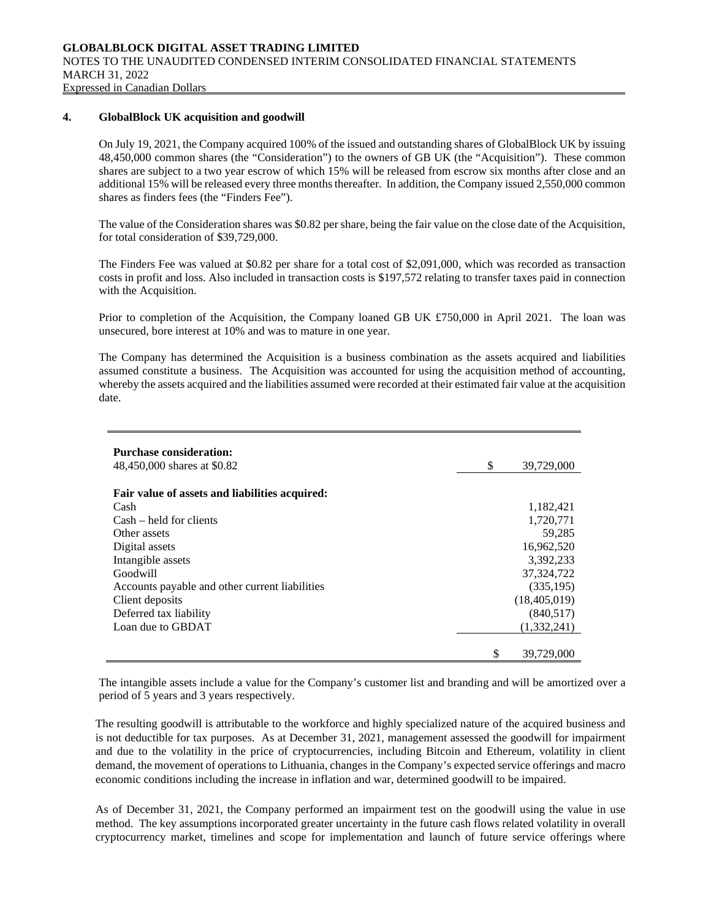#### **4. GlobalBlock UK acquisition and goodwill**

On July 19, 2021, the Company acquired 100% of the issued and outstanding shares of GlobalBlock UK by issuing 48,450,000 common shares (the "Consideration") to the owners of GB UK (the "Acquisition"). These common shares are subject to a two year escrow of which 15% will be released from escrow six months after close and an additional 15% will be released every three months thereafter. In addition, the Company issued 2,550,000 common shares as finders fees (the "Finders Fee").

The value of the Consideration shares was \$0.82 per share, being the fair value on the close date of the Acquisition, for total consideration of \$39,729,000.

The Finders Fee was valued at \$0.82 per share for a total cost of \$2,091,000, which was recorded as transaction costs in profit and loss. Also included in transaction costs is \$197,572 relating to transfer taxes paid in connection with the Acquisition.

Prior to completion of the Acquisition, the Company loaned GB UK £750,000 in April 2021. The loan was unsecured, bore interest at 10% and was to mature in one year.

The Company has determined the Acquisition is a business combination as the assets acquired and liabilities assumed constitute a business. The Acquisition was accounted for using the acquisition method of accounting, whereby the assets acquired and the liabilities assumed were recorded at their estimated fair value at the acquisition date.

| <b>Purchase consideration:</b>                 |                  |
|------------------------------------------------|------------------|
| 48,450,000 shares at \$0.82                    | \$<br>39,729,000 |
| Fair value of assets and liabilities acquired: |                  |
|                                                |                  |
| Cash                                           | 1,182,421        |
| $Cash - held for clients$                      | 1,720,771        |
| Other assets                                   | 59.285           |
| Digital assets                                 | 16,962,520       |
| Intangible assets                              | 3.392.233        |
| Goodwill                                       | 37, 324, 722     |
| Accounts payable and other current liabilities | (335,195)        |
| Client deposits                                | (18, 405, 019)   |
| Deferred tax liability                         | (840, 517)       |
| Loan due to GBDAT                              | (1,332,241)      |
|                                                |                  |
|                                                | \$<br>39,729,000 |

The intangible assets include a value for the Company's customer list and branding and will be amortized over a period of 5 years and 3 years respectively.

The resulting goodwill is attributable to the workforce and highly specialized nature of the acquired business and is not deductible for tax purposes. As at December 31, 2021, management assessed the goodwill for impairment and due to the volatility in the price of cryptocurrencies, including Bitcoin and Ethereum, volatility in client demand, the movement of operations to Lithuania, changes in the Company's expected service offerings and macro economic conditions including the increase in inflation and war, determined goodwill to be impaired.

As of December 31, 2021, the Company performed an impairment test on the goodwill using the value in use method. The key assumptions incorporated greater uncertainty in the future cash flows related volatility in overall cryptocurrency market, timelines and scope for implementation and launch of future service offerings where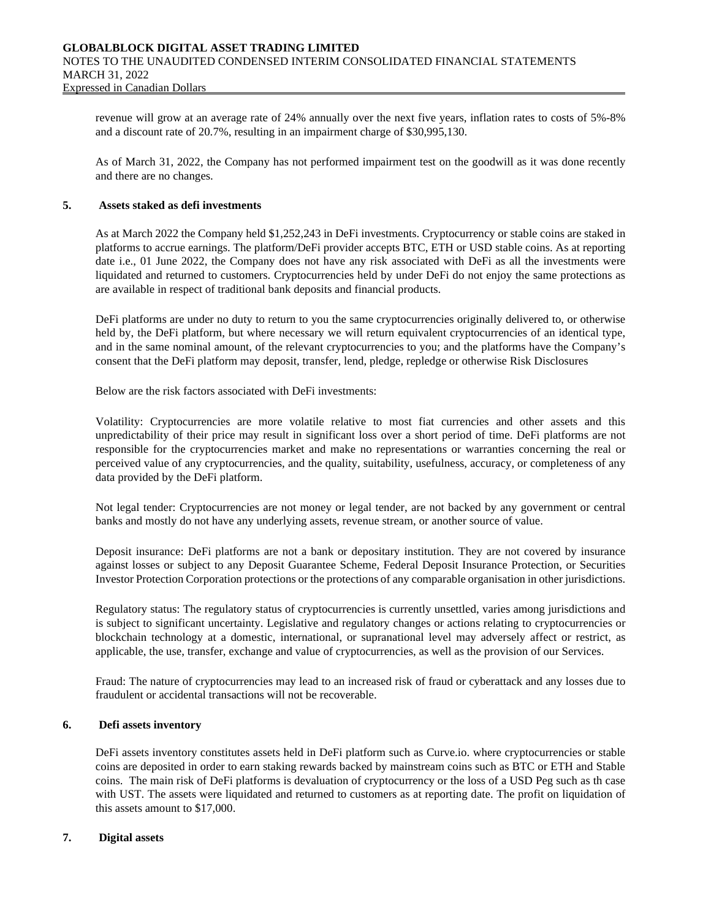revenue will grow at an average rate of 24% annually over the next five years, inflation rates to costs of 5%-8% and a discount rate of 20.7%, resulting in an impairment charge of \$30,995,130.

As of March 31, 2022, the Company has not performed impairment test on the goodwill as it was done recently and there are no changes.

## **5. Assets staked as defi investments**

As at March 2022 the Company held \$1,252,243 in DeFi investments. Cryptocurrency or stable coins are staked in platforms to accrue earnings. The platform/DeFi provider accepts BTC, ETH or USD stable coins. As at reporting date i.e., 01 June 2022, the Company does not have any risk associated with DeFi as all the investments were liquidated and returned to customers. Cryptocurrencies held by under DeFi do not enjoy the same protections as are available in respect of traditional bank deposits and financial products.

DeFi platforms are under no duty to return to you the same cryptocurrencies originally delivered to, or otherwise held by, the DeFi platform, but where necessary we will return equivalent cryptocurrencies of an identical type, and in the same nominal amount, of the relevant cryptocurrencies to you; and the platforms have the Company's consent that the DeFi platform may deposit, transfer, lend, pledge, repledge or otherwise Risk Disclosures

Below are the risk factors associated with DeFi investments:

Volatility: Cryptocurrencies are more volatile relative to most fiat currencies and other assets and this unpredictability of their price may result in significant loss over a short period of time. DeFi platforms are not responsible for the cryptocurrencies market and make no representations or warranties concerning the real or perceived value of any cryptocurrencies, and the quality, suitability, usefulness, accuracy, or completeness of any data provided by the DeFi platform.

Not legal tender: Cryptocurrencies are not money or legal tender, are not backed by any government or central banks and mostly do not have any underlying assets, revenue stream, or another source of value.

Deposit insurance: DeFi platforms are not a bank or depositary institution. They are not covered by insurance against losses or subject to any Deposit Guarantee Scheme, Federal Deposit Insurance Protection, or Securities Investor Protection Corporation protections or the protections of any comparable organisation in other jurisdictions.

Regulatory status: The regulatory status of cryptocurrencies is currently unsettled, varies among jurisdictions and is subject to significant uncertainty. Legislative and regulatory changes or actions relating to cryptocurrencies or blockchain technology at a domestic, international, or supranational level may adversely affect or restrict, as applicable, the use, transfer, exchange and value of cryptocurrencies, as well as the provision of our Services.

Fraud: The nature of cryptocurrencies may lead to an increased risk of fraud or cyberattack and any losses due to fraudulent or accidental transactions will not be recoverable.

# **6. Defi assets inventory**

DeFi assets inventory constitutes assets held in DeFi platform such as Curve.io. where cryptocurrencies or stable coins are deposited in order to earn staking rewards backed by mainstream coins such as BTC or ETH and Stable coins. The main risk of DeFi platforms is devaluation of cryptocurrency or the loss of a USD Peg such as th case with UST. The assets were liquidated and returned to customers as at reporting date. The profit on liquidation of this assets amount to \$17,000.

## **7. Digital assets**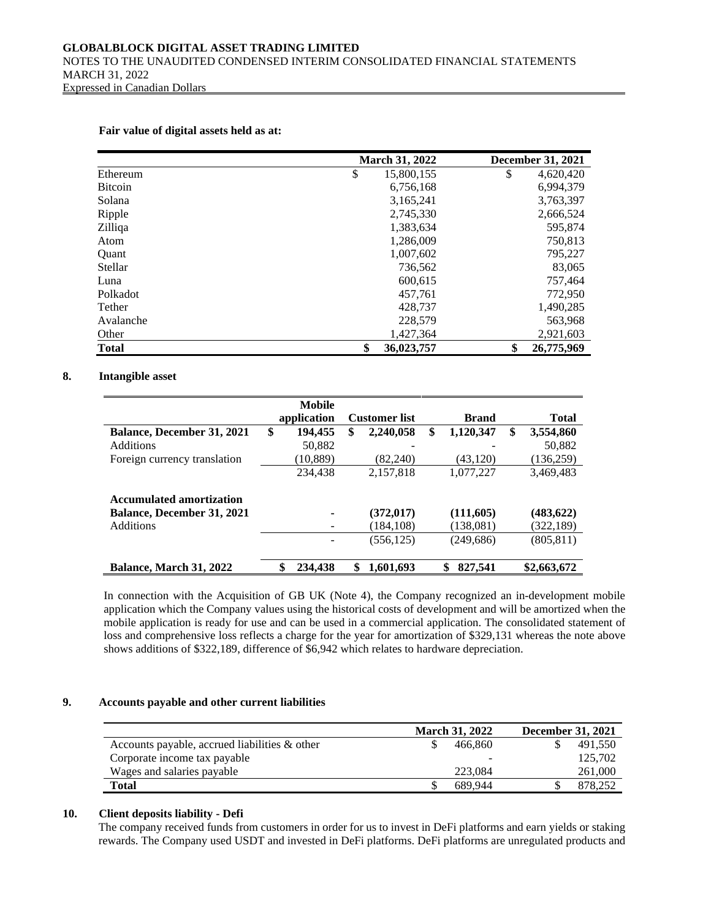|                | <b>March 31, 2022</b> | <b>December 31, 2021</b> |
|----------------|-----------------------|--------------------------|
| Ethereum       | \$<br>15,800,155      | \$<br>4,620,420          |
| <b>Bitcoin</b> | 6,756,168             | 6,994,379                |
| Solana         | 3,165,241             | 3,763,397                |
| Ripple         | 2,745,330             | 2,666,524                |
| Zilliqa        | 1,383,634             | 595,874                  |
| Atom           | 1,286,009             | 750,813                  |
| <b>Ouant</b>   | 1,007,602             | 795,227                  |
| Stellar        | 736,562               | 83,065                   |
| Luna           | 600,615               | 757,464                  |
| Polkadot       | 457,761               | 772,950                  |
| Tether         | 428,737               | 1,490,285                |
| Avalanche      | 228,579               | 563,968                  |
| Other          | 1,427,364             | 2,921,603                |
| <b>Total</b>   | \$<br>36,023,757      | \$<br>26,775,969         |

#### **Fair value of digital assets held as at:**

#### **8. Intangible asset**

|                                   | Mobile        |                      |                 |                 |
|-----------------------------------|---------------|----------------------|-----------------|-----------------|
|                                   | application   | <b>Customer</b> list | <b>Brand</b>    | <b>Total</b>    |
| <b>Balance, December 31, 2021</b> | \$<br>194,455 | \$<br>2,240,058      | \$<br>1,120,347 | \$<br>3,554,860 |
| <b>Additions</b>                  | 50,882        |                      |                 | 50,882          |
| Foreign currency translation      | (10, 889)     | (82.240)             | (43, 120)       | (136,259)       |
|                                   | 234,438       | 2,157,818            | 1,077,227       | 3,469,483       |
| <b>Accumulated amortization</b>   |               |                      |                 |                 |
| <b>Balance, December 31, 2021</b> |               | (372, 017)           | (111,605)       | (483, 622)      |
| <b>Additions</b>                  |               | (184, 108)           | (138,081)       | (322,189)       |
|                                   |               | (556, 125)           | (249, 686)      | (805, 811)      |
| <b>Balance, March 31, 2022</b>    | \$<br>234,438 | \$<br>1,601,693      | 827,541<br>\$   | \$2,663,672     |

In connection with the Acquisition of GB UK (Note 4), the Company recognized an in-development mobile application which the Company values using the historical costs of development and will be amortized when the mobile application is ready for use and can be used in a commercial application. The consolidated statement of loss and comprehensive loss reflects a charge for the year for amortization of \$329,131 whereas the note above shows additions of \$322,189, difference of \$6,942 which relates to hardware depreciation.

### **9. Accounts payable and other current liabilities**

|                                                  | <b>March 31, 2022</b> | <b>December 31, 2021</b> |
|--------------------------------------------------|-----------------------|--------------------------|
| Accounts payable, accrued liabilities $\&$ other | 466.860               | 491.550                  |
| Corporate income tax payable                     |                       | 125,702                  |
| Wages and salaries payable                       | 223,084               | 261,000                  |
| Total                                            | 689.944               | 878.252                  |

### **10. Client deposits liability - Defi**

The company received funds from customers in order for us to invest in DeFi platforms and earn yields or staking rewards. The Company used USDT and invested in DeFi platforms. DeFi platforms are unregulated products and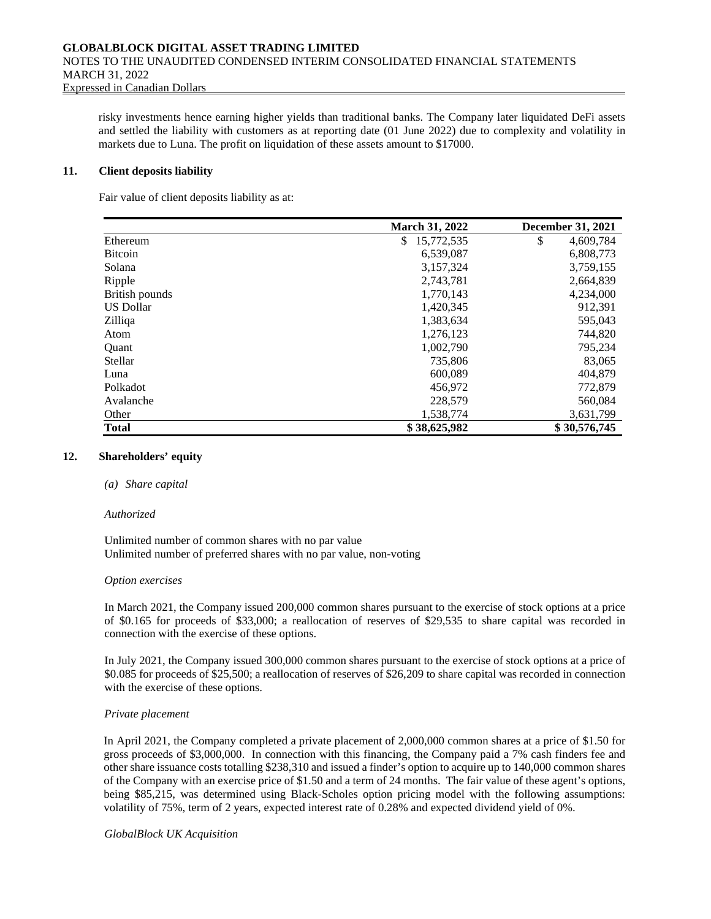risky investments hence earning higher yields than traditional banks. The Company later liquidated DeFi assets and settled the liability with customers as at reporting date (01 June 2022) due to complexity and volatility in markets due to Luna. The profit on liquidation of these assets amount to \$17000.

#### **11. Client deposits liability**

Fair value of client deposits liability as at:

|                  | March 31, 2022   | <b>December 31, 2021</b> |
|------------------|------------------|--------------------------|
| Ethereum         | 15,772,535<br>\$ | \$<br>4,609,784          |
| <b>Bitcoin</b>   | 6,539,087        | 6,808,773                |
| Solana           | 3,157,324        | 3,759,155                |
| Ripple           | 2,743,781        | 2,664,839                |
| British pounds   | 1,770,143        | 4,234,000                |
| <b>US Dollar</b> | 1,420,345        | 912,391                  |
| Zilliga          | 1,383,634        | 595,043                  |
| Atom             | 1,276,123        | 744,820                  |
| Quant            | 1,002,790        | 795,234                  |
| Stellar          | 735,806          | 83,065                   |
| Luna             | 600,089          | 404,879                  |
| Polkadot         | 456,972          | 772,879                  |
| Avalanche        | 228,579          | 560,084                  |
| Other            | 1,538,774        | 3,631,799                |
| Total            | \$38,625,982     | \$30,576,745             |

#### **12. Shareholders' equity**

#### *(a) Share capital*

#### *Authorized*

Unlimited number of common shares with no par value Unlimited number of preferred shares with no par value, non-voting

#### *Option exercises*

In March 2021, the Company issued 200,000 common shares pursuant to the exercise of stock options at a price of \$0.165 for proceeds of \$33,000; a reallocation of reserves of \$29,535 to share capital was recorded in connection with the exercise of these options.

In July 2021, the Company issued 300,000 common shares pursuant to the exercise of stock options at a price of \$0.085 for proceeds of \$25,500; a reallocation of reserves of \$26,209 to share capital was recorded in connection with the exercise of these options.

#### *Private placement*

In April 2021, the Company completed a private placement of 2,000,000 common shares at a price of \$1.50 for gross proceeds of \$3,000,000. In connection with this financing, the Company paid a 7% cash finders fee and other share issuance costs totalling \$238,310 and issued a finder's option to acquire up to 140,000 common shares of the Company with an exercise price of \$1.50 and a term of 24 months. The fair value of these agent's options, being \$85,215, was determined using Black-Scholes option pricing model with the following assumptions: volatility of 75%, term of 2 years, expected interest rate of 0.28% and expected dividend yield of 0%.

#### *GlobalBlock UK Acquisition*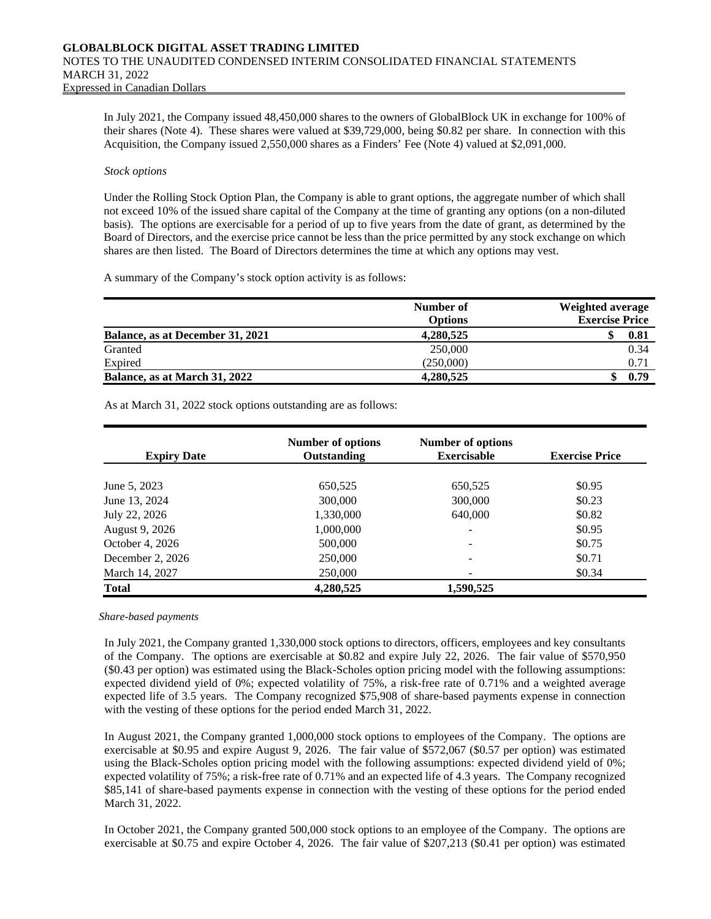In July 2021, the Company issued 48,450,000 shares to the owners of GlobalBlock UK in exchange for 100% of their shares (Note 4). These shares were valued at \$39,729,000, being \$0.82 per share. In connection with this Acquisition, the Company issued 2,550,000 shares as a Finders' Fee (Note 4) valued at \$2,091,000.

#### *Stock options*

Under the Rolling Stock Option Plan, the Company is able to grant options, the aggregate number of which shall not exceed 10% of the issued share capital of the Company at the time of granting any options (on a non-diluted basis). The options are exercisable for a period of up to five years from the date of grant, as determined by the Board of Directors, and the exercise price cannot be less than the price permitted by any stock exchange on which shares are then listed. The Board of Directors determines the time at which any options may vest.

A summary of the Company's stock option activity is as follows:

|                                  | Number of<br><b>Options</b> | <b>Weighted average</b><br><b>Exercise Price</b> |
|----------------------------------|-----------------------------|--------------------------------------------------|
| Balance, as at December 31, 2021 | 4,280,525                   | 0.81                                             |
| Granted                          | 250,000                     | 0.34                                             |
| Expired                          | (250,000)                   | $0.7^{\circ}$                                    |
| Balance, as at March 31, 2022    | 4,280,525                   | 0.79                                             |

As at March 31, 2022 stock options outstanding are as follows:

| <b>Expiry Date</b> | Number of options<br>Outstanding | Number of options<br><b>Exercisable</b> | <b>Exercise Price</b> |
|--------------------|----------------------------------|-----------------------------------------|-----------------------|
|                    |                                  |                                         |                       |
| June 5, 2023       | 650,525                          | 650,525                                 | \$0.95                |
| June 13, 2024      | 300,000                          | 300,000                                 | \$0.23                |
| July 22, 2026      | 1,330,000                        | 640,000                                 | \$0.82                |
| August 9, 2026     | 1,000,000                        | $\overline{\phantom{a}}$                | \$0.95                |
| October 4, 2026    | 500,000                          | $\overline{\phantom{a}}$                | \$0.75                |
| December 2, 2026   | 250,000                          | ۰                                       | \$0.71                |
| March 14, 2027     | 250,000                          | $\overline{\phantom{a}}$                | \$0.34                |
| <b>Total</b>       | 4,280,525                        | 1,590,525                               |                       |

#### *Share-based payments*

In July 2021, the Company granted 1,330,000 stock options to directors, officers, employees and key consultants of the Company. The options are exercisable at \$0.82 and expire July 22, 2026. The fair value of \$570,950 (\$0.43 per option) was estimated using the Black-Scholes option pricing model with the following assumptions: expected dividend yield of 0%; expected volatility of 75%, a risk-free rate of 0.71% and a weighted average expected life of 3.5 years. The Company recognized \$75,908 of share-based payments expense in connection with the vesting of these options for the period ended March 31, 2022.

In August 2021, the Company granted 1,000,000 stock options to employees of the Company. The options are exercisable at \$0.95 and expire August 9, 2026. The fair value of \$572,067 (\$0.57 per option) was estimated using the Black-Scholes option pricing model with the following assumptions: expected dividend yield of 0%; expected volatility of 75%; a risk-free rate of 0.71% and an expected life of 4.3 years. The Company recognized \$85,141 of share-based payments expense in connection with the vesting of these options for the period ended March 31, 2022.

In October 2021, the Company granted 500,000 stock options to an employee of the Company. The options are exercisable at \$0.75 and expire October 4, 2026. The fair value of \$207,213 (\$0.41 per option) was estimated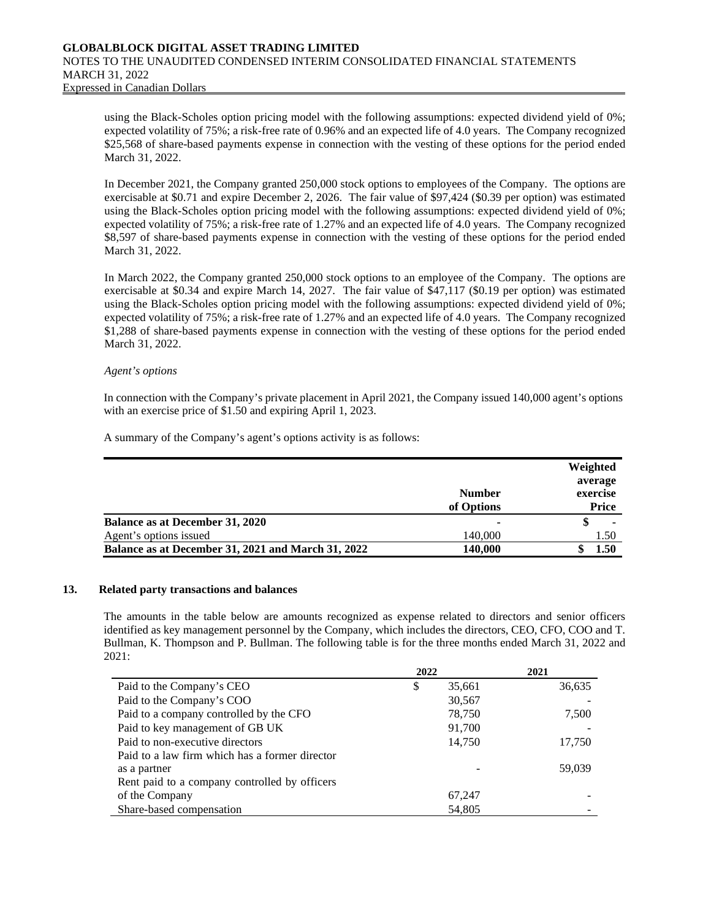using the Black-Scholes option pricing model with the following assumptions: expected dividend yield of 0%; expected volatility of 75%; a risk-free rate of 0.96% and an expected life of 4.0 years. The Company recognized \$25,568 of share-based payments expense in connection with the vesting of these options for the period ended March 31, 2022.

In December 2021, the Company granted 250,000 stock options to employees of the Company. The options are exercisable at \$0.71 and expire December 2, 2026. The fair value of \$97,424 (\$0.39 per option) was estimated using the Black-Scholes option pricing model with the following assumptions: expected dividend yield of 0%; expected volatility of 75%; a risk-free rate of 1.27% and an expected life of 4.0 years. The Company recognized \$8,597 of share-based payments expense in connection with the vesting of these options for the period ended March 31, 2022.

In March 2022, the Company granted 250,000 stock options to an employee of the Company. The options are exercisable at \$0.34 and expire March 14, 2027. The fair value of \$47,117 (\$0.19 per option) was estimated using the Black-Scholes option pricing model with the following assumptions: expected dividend yield of 0%; expected volatility of 75%; a risk-free rate of 1.27% and an expected life of 4.0 years. The Company recognized \$1,288 of share-based payments expense in connection with the vesting of these options for the period ended March 31, 2022.

#### *Agent's options*

In connection with the Company's private placement in April 2021, the Company issued 140,000 agent's options with an exercise price of \$1.50 and expiring April 1, 2023.

A summary of the Company's agent's options activity is as follows:

|                                                    |               | Weighted |
|----------------------------------------------------|---------------|----------|
|                                                    |               | average  |
|                                                    | <b>Number</b> | exercise |
|                                                    | of Options    | Price    |
| Balance as at December 31, 2020                    |               | ۰        |
| Agent's options issued                             | 140,000       | 1.50     |
| Balance as at December 31, 2021 and March 31, 2022 | 140,000       | 1.50     |

#### **13. Related party transactions and balances**

The amounts in the table below are amounts recognized as expense related to directors and senior officers identified as key management personnel by the Company, which includes the directors, CEO, CFO, COO and T. Bullman, K. Thompson and P. Bullman. The following table is for the three months ended March 31, 2022 and 2021:

|                                                | 2022         | 2021   |
|------------------------------------------------|--------------|--------|
| Paid to the Company's CEO                      | \$<br>35,661 | 36,635 |
| Paid to the Company's COO                      | 30,567       |        |
| Paid to a company controlled by the CFO        | 78,750       | 7,500  |
| Paid to key management of GB UK                | 91,700       |        |
| Paid to non-executive directors                | 14,750       | 17,750 |
| Paid to a law firm which has a former director |              |        |
| as a partner                                   |              | 59,039 |
| Rent paid to a company controlled by officers  |              |        |
| of the Company                                 | 67,247       |        |
| Share-based compensation                       | 54,805       |        |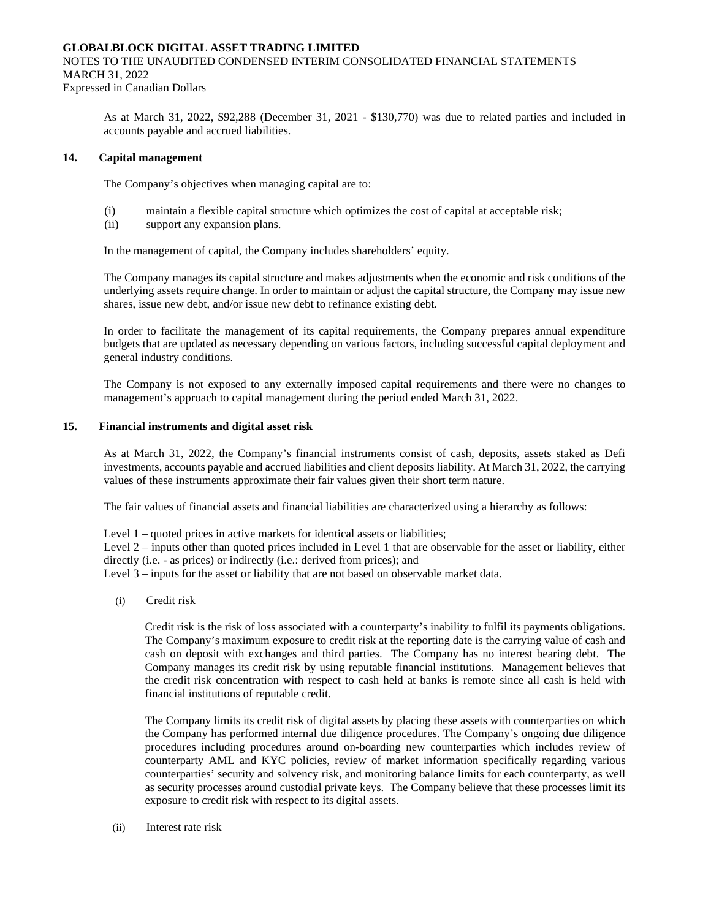As at March 31, 2022, \$92,288 (December 31, 2021 - \$130,770) was due to related parties and included in accounts payable and accrued liabilities.

### **14. Capital management**

The Company's objectives when managing capital are to:

- (i) maintain a flexible capital structure which optimizes the cost of capital at acceptable risk;
- (ii) support any expansion plans.

In the management of capital, the Company includes shareholders' equity.

The Company manages its capital structure and makes adjustments when the economic and risk conditions of the underlying assets require change. In order to maintain or adjust the capital structure, the Company may issue new shares, issue new debt, and/or issue new debt to refinance existing debt.

In order to facilitate the management of its capital requirements, the Company prepares annual expenditure budgets that are updated as necessary depending on various factors, including successful capital deployment and general industry conditions.

The Company is not exposed to any externally imposed capital requirements and there were no changes to management's approach to capital management during the period ended March 31, 2022.

# **15. Financial instruments and digital asset risk**

As at March 31, 2022, the Company's financial instruments consist of cash, deposits, assets staked as Defi investments, accounts payable and accrued liabilities and client deposits liability. At March 31, 2022, the carrying values of these instruments approximate their fair values given their short term nature.

The fair values of financial assets and financial liabilities are characterized using a hierarchy as follows:

Level 1 – quoted prices in active markets for identical assets or liabilities;

Level 2 – inputs other than quoted prices included in Level 1 that are observable for the asset or liability, either directly (i.e. - as prices) or indirectly (i.e.: derived from prices); and

Level 3 – inputs for the asset or liability that are not based on observable market data.

(i) Credit risk

Credit risk is the risk of loss associated with a counterparty's inability to fulfil its payments obligations. The Company's maximum exposure to credit risk at the reporting date is the carrying value of cash and cash on deposit with exchanges and third parties. The Company has no interest bearing debt. The Company manages its credit risk by using reputable financial institutions. Management believes that the credit risk concentration with respect to cash held at banks is remote since all cash is held with financial institutions of reputable credit.

The Company limits its credit risk of digital assets by placing these assets with counterparties on which the Company has performed internal due diligence procedures. The Company's ongoing due diligence procedures including procedures around on-boarding new counterparties which includes review of counterparty AML and KYC policies, review of market information specifically regarding various counterparties' security and solvency risk, and monitoring balance limits for each counterparty, as well as security processes around custodial private keys. The Company believe that these processes limit its exposure to credit risk with respect to its digital assets.

(ii) Interest rate risk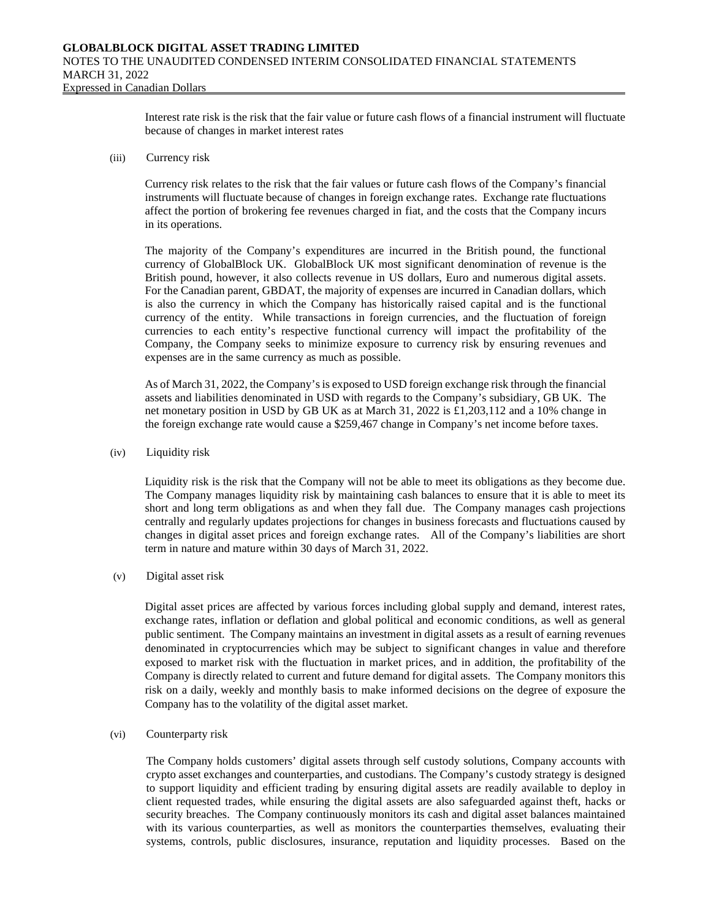Interest rate risk is the risk that the fair value or future cash flows of a financial instrument will fluctuate because of changes in market interest rates

#### (iii) Currency risk

Currency risk relates to the risk that the fair values or future cash flows of the Company's financial instruments will fluctuate because of changes in foreign exchange rates. Exchange rate fluctuations affect the portion of brokering fee revenues charged in fiat, and the costs that the Company incurs in its operations.

The majority of the Company's expenditures are incurred in the British pound, the functional currency of GlobalBlock UK. GlobalBlock UK most significant denomination of revenue is the British pound, however, it also collects revenue in US dollars, Euro and numerous digital assets. For the Canadian parent, GBDAT, the majority of expenses are incurred in Canadian dollars, which is also the currency in which the Company has historically raised capital and is the functional currency of the entity. While transactions in foreign currencies, and the fluctuation of foreign currencies to each entity's respective functional currency will impact the profitability of the Company, the Company seeks to minimize exposure to currency risk by ensuring revenues and expenses are in the same currency as much as possible.

As of March 31, 2022, the Company's is exposed to USD foreign exchange risk through the financial assets and liabilities denominated in USD with regards to the Company's subsidiary, GB UK. The net monetary position in USD by GB UK as at March 31, 2022 is £1,203,112 and a 10% change in the foreign exchange rate would cause a \$259,467 change in Company's net income before taxes.

(iv) Liquidity risk

Liquidity risk is the risk that the Company will not be able to meet its obligations as they become due. The Company manages liquidity risk by maintaining cash balances to ensure that it is able to meet its short and long term obligations as and when they fall due. The Company manages cash projections centrally and regularly updates projections for changes in business forecasts and fluctuations caused by changes in digital asset prices and foreign exchange rates. All of the Company's liabilities are short term in nature and mature within 30 days of March 31, 2022.

(v) Digital asset risk

Digital asset prices are affected by various forces including global supply and demand, interest rates, exchange rates, inflation or deflation and global political and economic conditions, as well as general public sentiment. The Company maintains an investment in digital assets as a result of earning revenues denominated in cryptocurrencies which may be subject to significant changes in value and therefore exposed to market risk with the fluctuation in market prices, and in addition, the profitability of the Company is directly related to current and future demand for digital assets. The Company monitors this risk on a daily, weekly and monthly basis to make informed decisions on the degree of exposure the Company has to the volatility of the digital asset market.

#### (vi) Counterparty risk

The Company holds customers' digital assets through self custody solutions, Company accounts with crypto asset exchanges and counterparties, and custodians. The Company's custody strategy is designed to support liquidity and efficient trading by ensuring digital assets are readily available to deploy in client requested trades, while ensuring the digital assets are also safeguarded against theft, hacks or security breaches. The Company continuously monitors its cash and digital asset balances maintained with its various counterparties, as well as monitors the counterparties themselves, evaluating their systems, controls, public disclosures, insurance, reputation and liquidity processes. Based on the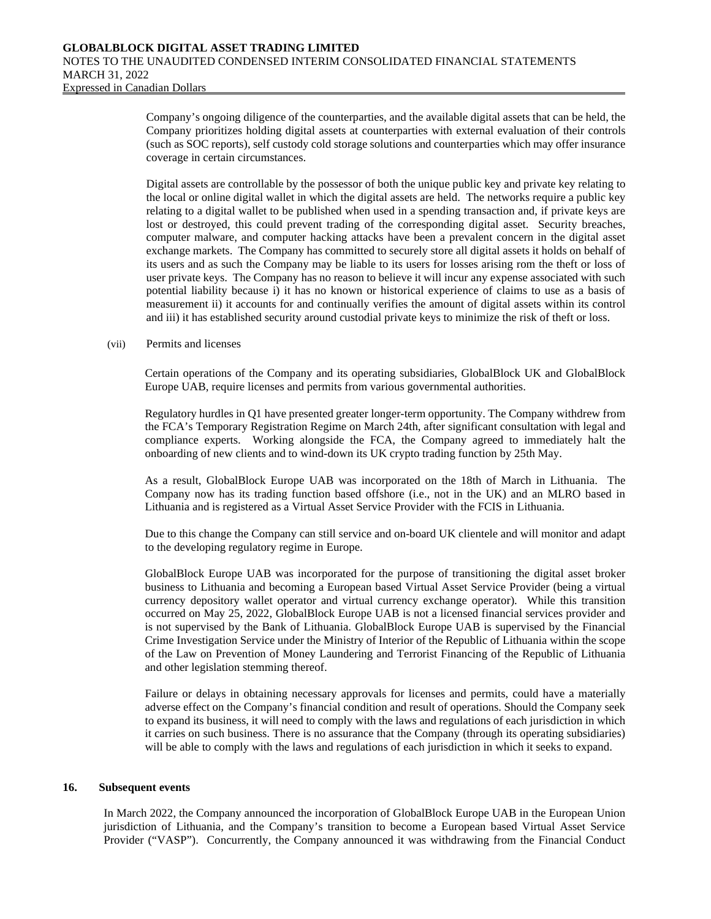Company's ongoing diligence of the counterparties, and the available digital assets that can be held, the Company prioritizes holding digital assets at counterparties with external evaluation of their controls (such as SOC reports), self custody cold storage solutions and counterparties which may offer insurance coverage in certain circumstances.

Digital assets are controllable by the possessor of both the unique public key and private key relating to the local or online digital wallet in which the digital assets are held. The networks require a public key relating to a digital wallet to be published when used in a spending transaction and, if private keys are lost or destroyed, this could prevent trading of the corresponding digital asset. Security breaches, computer malware, and computer hacking attacks have been a prevalent concern in the digital asset exchange markets. The Company has committed to securely store all digital assets it holds on behalf of its users and as such the Company may be liable to its users for losses arising rom the theft or loss of user private keys. The Company has no reason to believe it will incur any expense associated with such potential liability because i) it has no known or historical experience of claims to use as a basis of measurement ii) it accounts for and continually verifies the amount of digital assets within its control and iii) it has established security around custodial private keys to minimize the risk of theft or loss.

#### (vii) Permits and licenses

Certain operations of the Company and its operating subsidiaries, GlobalBlock UK and GlobalBlock Europe UAB, require licenses and permits from various governmental authorities.

Regulatory hurdles in Q1 have presented greater longer-term opportunity. The Company withdrew from the FCA's Temporary Registration Regime on March 24th, after significant consultation with legal and compliance experts. Working alongside the FCA, the Company agreed to immediately halt the onboarding of new clients and to wind-down its UK crypto trading function by 25th May.

As a result, GlobalBlock Europe UAB was incorporated on the 18th of March in Lithuania. The Company now has its trading function based offshore (i.e., not in the UK) and an MLRO based in Lithuania and is registered as a Virtual Asset Service Provider with the FCIS in Lithuania.

Due to this change the Company can still service and on-board UK clientele and will monitor and adapt to the developing regulatory regime in Europe.

GlobalBlock Europe UAB was incorporated for the purpose of transitioning the digital asset broker business to Lithuania and becoming a European based Virtual Asset Service Provider (being a virtual currency depository wallet operator and virtual currency exchange operator). While this transition occurred on May 25, 2022, GlobalBlock Europe UAB is not a licensed financial services provider and is not supervised by the Bank of Lithuania. GlobalBlock Europe UAB is supervised by the Financial Crime Investigation Service under the Ministry of Interior of the Republic of Lithuania within the scope of the Law on Prevention of Money Laundering and Terrorist Financing of the Republic of Lithuania and other legislation stemming thereof.

Failure or delays in obtaining necessary approvals for licenses and permits, could have a materially adverse effect on the Company's financial condition and result of operations. Should the Company seek to expand its business, it will need to comply with the laws and regulations of each jurisdiction in which it carries on such business. There is no assurance that the Company (through its operating subsidiaries) will be able to comply with the laws and regulations of each jurisdiction in which it seeks to expand.

#### **16. Subsequent events**

In March 2022, the Company announced the incorporation of GlobalBlock Europe UAB in the European Union jurisdiction of Lithuania, and the Company's transition to become a European based Virtual Asset Service Provider ("VASP"). Concurrently, the Company announced it was withdrawing from the Financial Conduct